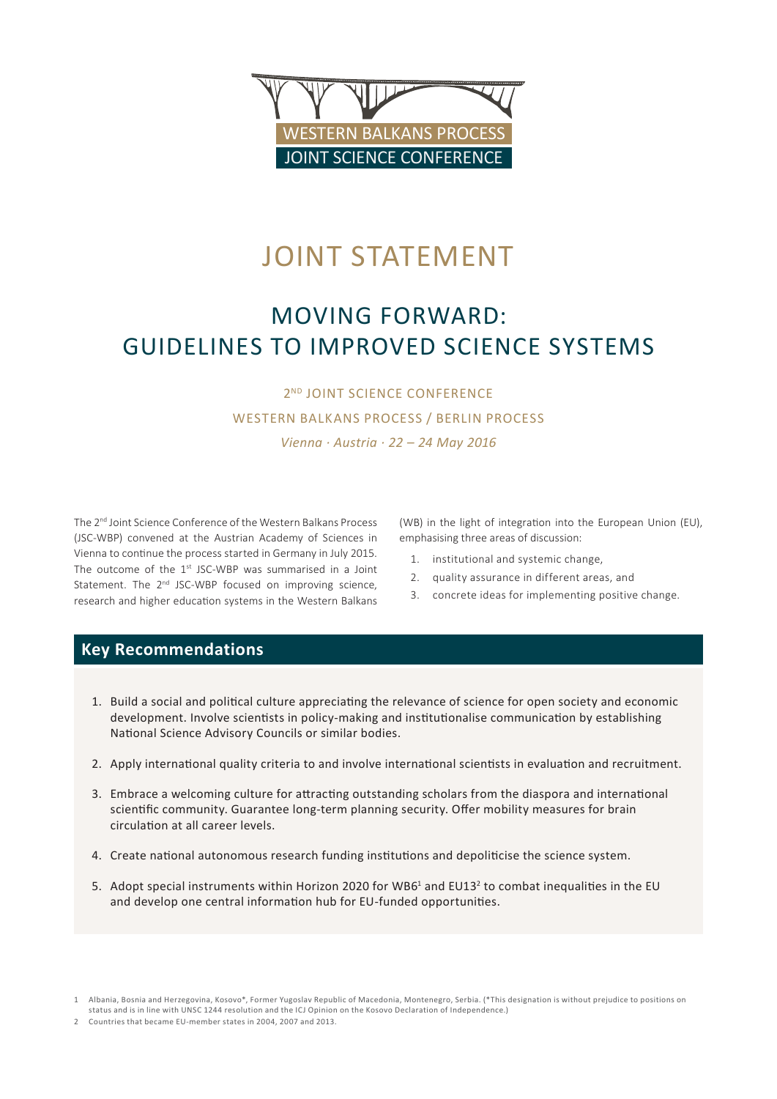

# JOINT STATEMENT

# Moving Forward: Guidelines to improved Science systems

2<sup>ND</sup> JOINT SCIENCE CONFERENCE WESTERN BALKANS Process / Berlin Process *Vienna · Austria · 22 – 24 May 2016*

The 2nd Joint Science Conference of the Western Balkans Process (JSC-WBP) convened at the Austrian Academy of Sciences in Vienna to continue the process started in Germany in July 2015. The outcome of the  $1^{st}$  JSC-WBP was summarised in a Joint Statement. The 2<sup>nd</sup> JSC-WBP focused on improving science, research and higher education systems in the Western Balkans

(WB) in the light of integration into the European Union (EU), emphasising three areas of discussion:

- 1. institutional and systemic change,
- 2. quality assurance in different areas, and
- 3. concrete ideas for implementing positive change.

## **Key Recommendations**

- 1. Build a social and political culture appreciating the relevance of science for open society and economic development. Involve scientists in policy-making and institutionalise communication by establishing National Science Advisory Councils or similar bodies.
- 2. Apply international quality criteria to and involve international scientists in evaluation and recruitment.
- 3. Embrace a welcoming culture for attracting outstanding scholars from the diaspora and international scientific community. Guarantee long-term planning security. Offer mobility measures for brain circulation at all career levels.
- 4. Create national autonomous research funding institutions and depoliticise the science system.
- 5. Adopt special instruments within Horizon 2020 for WB6<sup>1</sup> and EU13<sup>2</sup> to combat inequalities in the EU and develop one central information hub for EU-funded opportunities.

<sup>1</sup> Albania, Bosnia and Herzegovina, Kosovo\*, Former Yugoslav Republic of Macedonia, Montenegro, Serbia. (\*This designation is without prejudice to positions on status and is in line with UNSC 1244 resolution and the ICJ Opinion on the Kosovo Declaration of Independence.)

<sup>2</sup> Countries that became EU-member states in 2004, 2007 and 2013.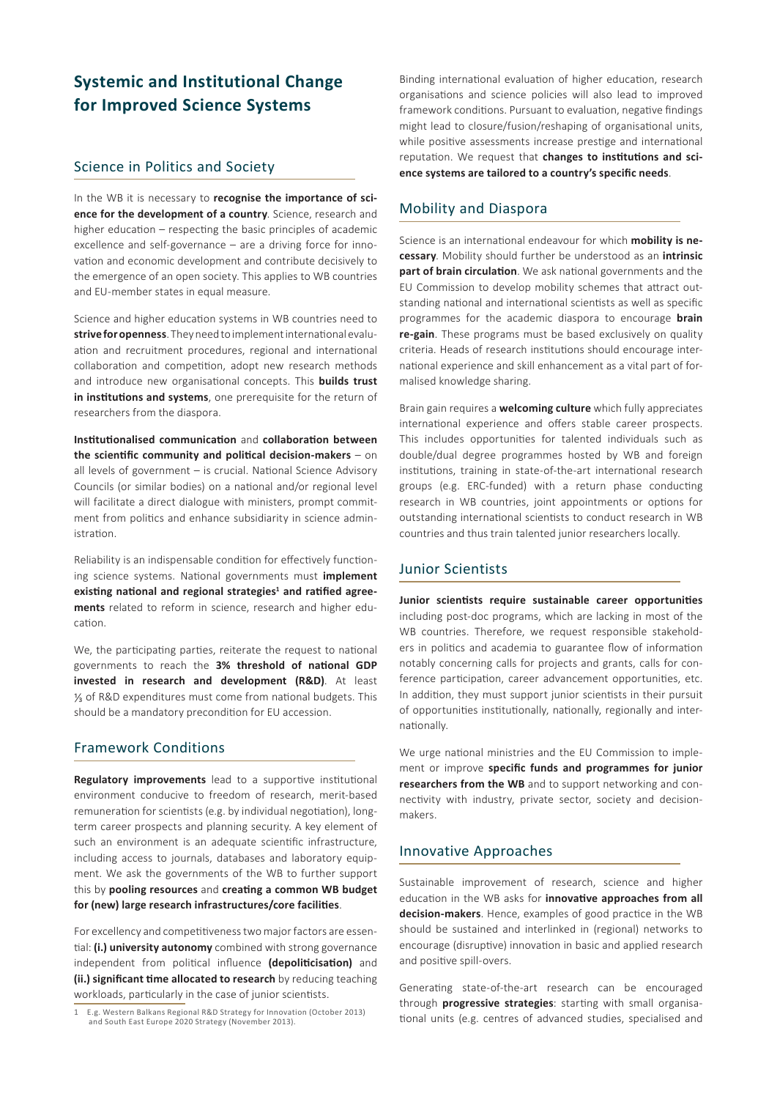# **Systemic and Institutional Change for Improved Science Systems**

## Science in Politics and Society

In the WB it is necessary to **recognise the importance of science for the development of a country**. Science, research and higher education – respecting the basic principles of academic excellence and self-governance – are a driving force for innovation and economic development and contribute decisively to the emergence of an open society. This applies to WB countries and EU-member states in equal measure.

Science and higher education systems in WB countries need to **strive for openness**.They need to implement international evaluation and recruitment procedures, regional and international collaboration and competition, adopt new research methods and introduce new organisational concepts. This **builds trust in institutions and systems**, one prerequisite for the return of researchers from the diaspora.

**Institutionalised communication** and **collaboration between the scientific community and political decision-makers** – on all levels of government – is crucial. National Science Advisory Councils (or similar bodies) on a national and/or regional level will facilitate a direct dialogue with ministers, prompt commitment from politics and enhance subsidiarity in science administration.

Reliability is an indispensable condition for effectively functioning science systems. National governments must **implement existing national and regional strategies<sup>1</sup> and ratified agreements** related to reform in science, research and higher education.

We, the participating parties, reiterate the request to national governments to reach the **3% threshold of national GDP invested in research and development (R&D)**. At least ⅓ of R&D expenditures must come from national budgets. This should be a mandatory precondition for EU accession.

## Framework Conditions

**Regulatory improvements** lead to a supportive institutional environment conducive to freedom of research, merit-based remuneration for scientists (e.g. by individual negotiation), longterm career prospects and planning security. A key element of such an environment is an adequate scientific infrastructure, including access to journals, databases and laboratory equipment. We ask the governments of the WB to further support this by **pooling resources** and **creating a common WB budget for (new) large research infrastructures/core facilities**.

For excellency and competitiveness two major factors are essential: **(i.) university autonomy** combined with strong governance independent from political influence **(depoliticisation)** and **(ii.) significant time allocated to research** by reducing teaching workloads, particularly in the case of junior scientists.

Binding international evaluation of higher education, research organisations and science policies will also lead to improved framework conditions. Pursuant to evaluation, negative findings might lead to closure/fusion/reshaping of organisational units, while positive assessments increase prestige and international reputation. We request that **changes to institutions and science systems are tailored to a country's specific needs**.

## Mobility and Diaspora

Science is an international endeavour for which **mobility is necessary**. Mobility should further be understood as an **intrinsic part of brain circulation**. We ask national governments and the EU Commission to develop mobility schemes that attract outstanding national and international scientists as well as specific programmes for the academic diaspora to encourage **brain re-gain**. These programs must be based exclusively on quality criteria. Heads of research institutions should encourage international experience and skill enhancement as a vital part of formalised knowledge sharing.

Brain gain requires a **welcoming culture** which fully appreciates international experience and offers stable career prospects. This includes opportunities for talented individuals such as double/dual degree programmes hosted by WB and foreign institutions, training in state-of-the-art international research groups (e.g. ERC-funded) with a return phase conducting research in WB countries, joint appointments or options for outstanding international scientists to conduct research in WB countries and thus train talented junior researchers locally.

## Junior Scientists

**Junior scientists require sustainable career opportunities**  including post-doc programs, which are lacking in most of the WB countries. Therefore, we request responsible stakeholders in politics and academia to guarantee flow of information notably concerning calls for projects and grants, calls for conference participation, career advancement opportunities, etc. In addition, they must support junior scientists in their pursuit of opportunities institutionally, nationally, regionally and internationally.

We urge national ministries and the EU Commission to implement or improve **specific funds and programmes for junior researchers from the WB** and to support networking and connectivity with industry, private sector, society and decisionmakers.

## Innovative Approaches

Sustainable improvement of research, science and higher education in the WB asks for **innovative approaches from all decision-makers**. Hence, examples of good practice in the WB should be sustained and interlinked in (regional) networks to encourage (disruptive) innovation in basic and applied research and positive spill-overs.

Generating state-of-the-art research can be encouraged through **progressive strategies**: starting with small organisational units (e.g. centres of advanced studies, specialised and

<sup>1</sup> E.g. Western Balkans Regional R&D Strategy for Innovation (October 2013) and South East Europe 2020 Strategy (November 2013).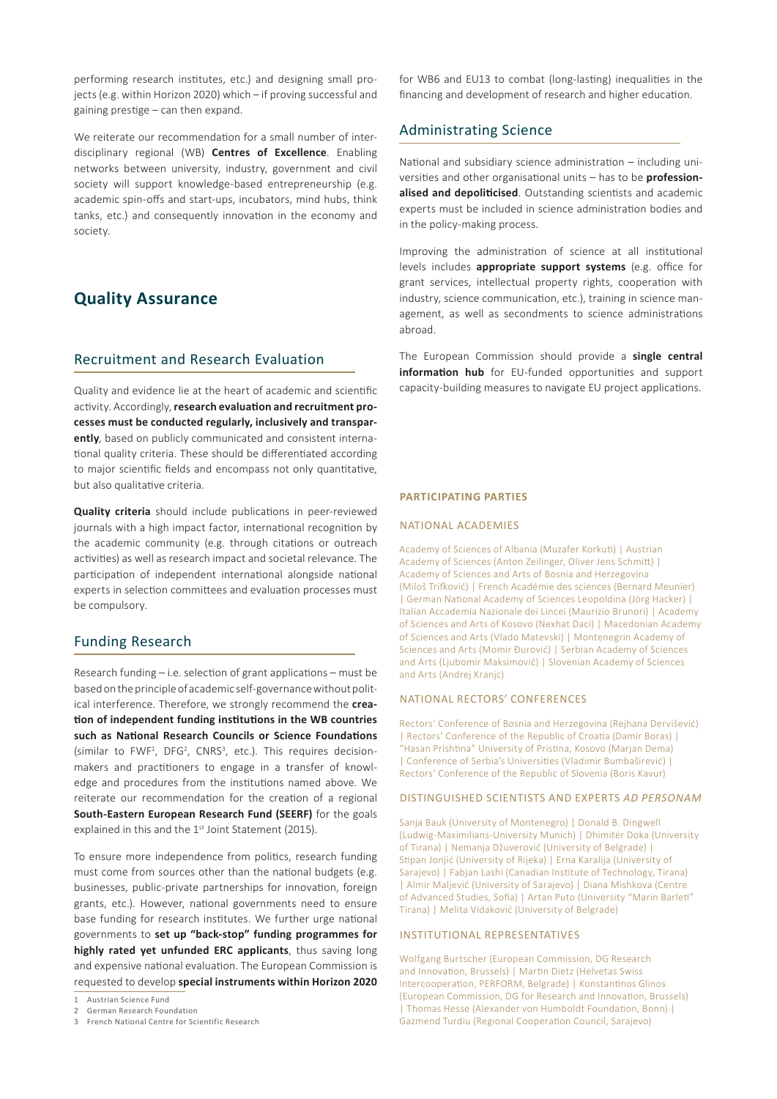performing research institutes, etc.) and designing small projects (e.g. within Horizon 2020) which – if proving successful and gaining prestige – can then expand.

We reiterate our recommendation for a small number of interdisciplinary regional (WB) **Centres of Excellence**. Enabling networks between university, industry, government and civil society will support knowledge-based entrepreneurship (e.g. academic spin-offs and start-ups, incubators, mind hubs, think tanks, etc.) and consequently innovation in the economy and society.

## **Quality Assurance**

## Recruitment and Research Evaluation

Quality and evidence lie at the heart of academic and scientific activity. Accordingly, **research evaluation and recruitment processes must be conducted regularly, inclusively and transparently**, based on publicly communicated and consistent international quality criteria. These should be differentiated according to major scientific fields and encompass not only quantitative, but also qualitative criteria.

**Quality criteria** should include publications in peer-reviewed journals with a high impact factor, international recognition by the academic community (e.g. through citations or outreach activities) as well as research impact and societal relevance. The participation of independent international alongside national experts in selection committees and evaluation processes must be compulsory.

## Funding Research

Research funding – i.e. selection of grant applications – must be based on the principle of academic self-governance without political interference. Therefore, we strongly recommend the **creation of independent funding institutions in the WB countries such as National Research Councils or Science Foundations** (similar to FWF<sup>1</sup>, DFG<sup>2</sup>, CNRS<sup>3</sup>, etc.). This requires decisionmakers and practitioners to engage in a transfer of knowledge and procedures from the institutions named above. We reiterate our recommendation for the creation of a regional **South-Eastern European Research Fund (SEERF)** for the goals explained in this and the 1<sup>st</sup> Joint Statement (2015).

To ensure more independence from politics, research funding must come from sources other than the national budgets (e.g. businesses, public-private partnerships for innovation, foreign grants, etc.). However, national governments need to ensure base funding for research institutes. We further urge national governments to **set up "back-stop" funding programmes for highly rated yet unfunded ERC applicants**, thus saving long and expensive national evaluation. The European Commission is requested to develop **special instruments within Horizon 2020**

3 French National Centre for Scientific Research

for WB6 and EU13 to combat (long-lasting) inequalities in the financing and development of research and higher education.

## Administrating Science

National and subsidiary science administration – including universities and other organisational units – has to be **professionalised and depoliticised**. Outstanding scientists and academic experts must be included in science administration bodies and in the policy-making process.

Improving the administration of science at all institutional levels includes **appropriate support systems** (e.g. office for grant services, intellectual property rights, cooperation with industry, science communication, etc.), training in science management, as well as secondments to science administrations abroad.

The European Commission should provide a **single central information hub** for EU-funded opportunities and support capacity-building measures to navigate EU project applications.

#### **Participating Parties**

#### National Academies

Academy of Sciences of Albania (Muzafer Korkuti) | Austrian Academy of Sciences (Anton Zeilinger, Oliver Jens Schmitt) | Academy of Sciences and Arts of Bosnia and Herzegovina (Miloš Trifković) | French Académie des sciences (Bernard Meunier) | German National Academy of Sciences Leopoldina (Jörg Hacker) | Italian Accademia Nazionale dei Lincei (Maurizio Brunori) | Academy of Sciences and Arts of Kosovo (Nexhat Daci) | Macedonian Academy of Sciences and Arts (Vlado Matevski) | Montenegrin Academy of Sciences and Arts (Momir Đurović) | Serbian Academy of Sciences and Arts (Ljubomir Maksimović) | Slovenian Academy of Sciences and Arts (Andrej Kranjc)

#### National Rectors' Conferences

Rectors' Conference of Bosnia and Herzegovina (Rejhana Dervišević) | Rectors' Conference of the Republic of Croatia (Damir Boras) | "Hasan Prishtina" University of Pristina, Kosovo (Marjan Dema) | Conference of Serbia's Universities (Vladimir Bumbaširević) | Rectors' Conference of the Republic of Slovenia (Boris Kavur)

#### Distinguished scientists and Experts *ad personam*

Sanja Bauk (University of Montenegro) | Donald B. Dingwell (Ludwig‐Maximilians‐University Munich) | Dhimitër Doka (University of Tirana) | Nemanja Džuverović (University of Belgrade) | Stipan Jonjić (University of Rijeka) | Erna Karalija (University of Sarajevo) | Fabjan Lashi (Canadian Institute of Technology, Tirana) | Almir Maljević (University of Sarajevo) | Diana Mishkova (Centre of Advanced Studies, Sofia) | Artan Puto (University "Marin Barleti" Tirana) | Melita Vidaković (University of Belgrade)

#### Institutional Representatives

Wolfgang Burtscher (European Commission, DG Research and Innovation, Brussels) | Martin Dietz (Helvetas Swiss Intercooperation, PERFORM, Belgrade) | Konstantinos Glinos (European Commission, DG for Research and Innovation, Brussels) | Thomas Hesse (Alexander von Humboldt Foundation, Bonn) | Gazmend Turdiu (Regional Cooperation Council, Sarajevo)

<sup>1</sup> Austrian Science Fund

<sup>2</sup> German Research Foundation